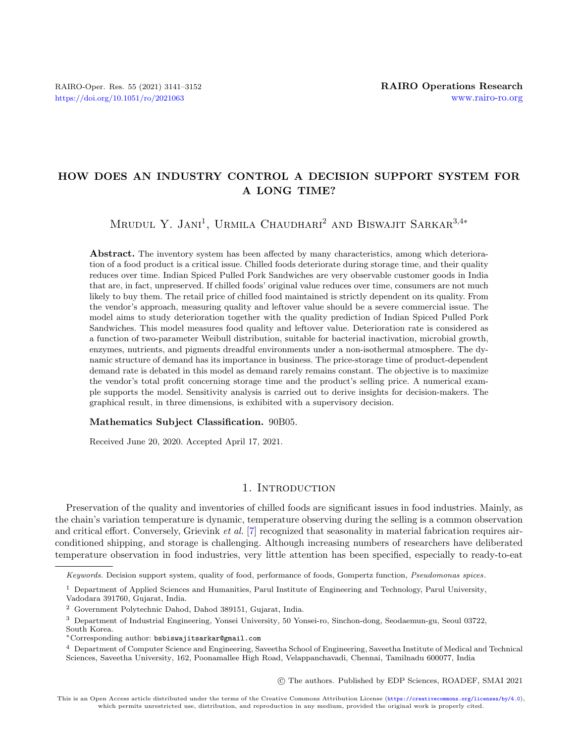# HOW DOES AN INDUSTRY CONTROL A DECISION SUPPORT SYSTEM FOR A LONG TIME?

MRUDUL Y. JANI<sup>1</sup>, URMILA CHAUDHARI<sup>2</sup> AND BISWAJIT SARKAR<sup>3,4\*</sup>

Abstract. The inventory system has been affected by many characteristics, among which deterioration of a food product is a critical issue. Chilled foods deteriorate during storage time, and their quality reduces over time. Indian Spiced Pulled Pork Sandwiches are very observable customer goods in India that are, in fact, unpreserved. If chilled foods' original value reduces over time, consumers are not much likely to buy them. The retail price of chilled food maintained is strictly dependent on its quality. From the vendor's approach, measuring quality and leftover value should be a severe commercial issue. The model aims to study deterioration together with the quality prediction of Indian Spiced Pulled Pork Sandwiches. This model measures food quality and leftover value. Deterioration rate is considered as a function of two-parameter Weibull distribution, suitable for bacterial inactivation, microbial growth, enzymes, nutrients, and pigments dreadful environments under a non-isothermal atmosphere. The dynamic structure of demand has its importance in business. The price-storage time of product-dependent demand rate is debated in this model as demand rarely remains constant. The objective is to maximize the vendor's total profit concerning storage time and the product's selling price. A numerical example supports the model. Sensitivity analysis is carried out to derive insights for decision-makers. The graphical result, in three dimensions, is exhibited with a supervisory decision.

#### Mathematics Subject Classification. 90B05.

Received June 20, 2020. Accepted April 17, 2021.

# 1. INTRODUCTION

Preservation of the quality and inventories of chilled foods are significant issues in food industries. Mainly, as the chain's variation temperature is dynamic, temperature observing during the selling is a common observation and critical effort. Conversely, Grievink et al. [\[7\]](#page-10-0) recognized that seasonality in material fabrication requires airconditioned shipping, and storage is challenging. Although increasing numbers of researchers have deliberated temperature observation in food industries, very little attention has been specified, especially to ready-to-eat

○c The authors. Published by EDP Sciences, ROADEF, SMAI 2021

Keywords. Decision support system, quality of food, performance of foods, Gompertz function, Pseudomonas spices.

<sup>&</sup>lt;sup>1</sup> Department of Applied Sciences and Humanities, Parul Institute of Engineering and Technology, Parul University, Vadodara 391760, Gujarat, India.

<sup>2</sup> Government Polytechnic Dahod, Dahod 389151, Gujarat, India.

<sup>3</sup> Department of Industrial Engineering, Yonsei University, 50 Yonsei-ro, Sinchon-dong, Seodaemun-gu, Seoul 03722, South Korea.

<sup>\*</sup>Corresponding author: [bsbiswajitsarkar@gmail.com](mailto:bsbiswajitsarkar@gmail.com)

<sup>4</sup> Department of Computer Science and Engineering, Saveetha School of Engineering, Saveetha Institute of Medical and Technical Sciences, Saveetha University, 162, Poonamallee High Road, Velappanchavadi, Chennai, Tamilnadu 600077, India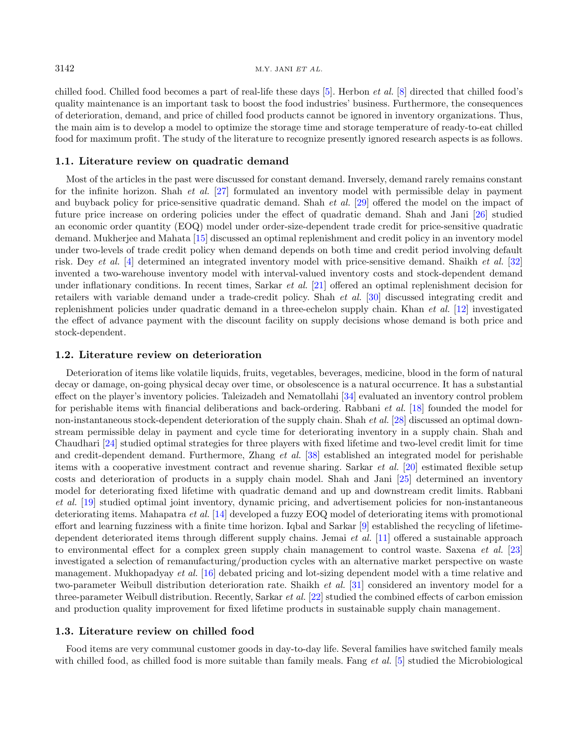$3142$  M.Y. JANI ET AL.

chilled food. Chilled food becomes a part of real-life these days [\[5\]](#page-10-1). Herbon et al. [\[8\]](#page-10-2) directed that chilled food's quality maintenance is an important task to boost the food industries' business. Furthermore, the consequences of deterioration, demand, and price of chilled food products cannot be ignored in inventory organizations. Thus, the main aim is to develop a model to optimize the storage time and storage temperature of ready-to-eat chilled food for maximum profit. The study of the literature to recognize presently ignored research aspects is as follows.

# 1.1. Literature review on quadratic demand

Most of the articles in the past were discussed for constant demand. Inversely, demand rarely remains constant for the infinite horizon. Shah et al. [\[27\]](#page-10-3) formulated an inventory model with permissible delay in payment and buyback policy for price-sensitive quadratic demand. Shah *et al.* [\[29\]](#page-11-0) offered the model on the impact of future price increase on ordering policies under the effect of quadratic demand. Shah and Jani [\[26\]](#page-10-4) studied an economic order quantity (EOQ) model under order-size-dependent trade credit for price-sensitive quadratic demand. Mukherjee and Mahata [\[15\]](#page-10-5) discussed an optimal replenishment and credit policy in an inventory model under two-levels of trade credit policy when demand depends on both time and credit period involving default risk. Dey et al. [\[4\]](#page-10-6) determined an integrated inventory model with price-sensitive demand. Shaikh et al. [\[32\]](#page-11-1) invented a two-warehouse inventory model with interval-valued inventory costs and stock-dependent demand under inflationary conditions. In recent times, Sarkar *et al.* [\[21\]](#page-10-7) offered an optimal replenishment decision for retailers with variable demand under a trade-credit policy. Shah et al. [\[30\]](#page-11-2) discussed integrating credit and replenishment policies under quadratic demand in a three-echelon supply chain. Khan et al. [\[12\]](#page-10-8) investigated the effect of advance payment with the discount facility on supply decisions whose demand is both price and stock-dependent.

## 1.2. Literature review on deterioration

Deterioration of items like volatile liquids, fruits, vegetables, beverages, medicine, blood in the form of natural decay or damage, on-going physical decay over time, or obsolescence is a natural occurrence. It has a substantial effect on the player's inventory policies. Taleizadeh and Nematollahi [\[34\]](#page-11-3) evaluated an inventory control problem for perishable items with financial deliberations and back-ordering. Rabbani et al. [\[18\]](#page-10-9) founded the model for non-instantaneous stock-dependent deterioration of the supply chain. Shah et al. [\[28\]](#page-11-4) discussed an optimal downstream permissible delay in payment and cycle time for deteriorating inventory in a supply chain. Shah and Chaudhari [\[24\]](#page-10-10) studied optimal strategies for three players with fixed lifetime and two-level credit limit for time and credit-dependent demand. Furthermore, Zhang et al. [\[38\]](#page-11-5) established an integrated model for perishable items with a cooperative investment contract and revenue sharing. Sarkar et al. [\[20\]](#page-10-11) estimated flexible setup costs and deterioration of products in a supply chain model. Shah and Jani [\[25\]](#page-10-12) determined an inventory model for deteriorating fixed lifetime with quadratic demand and up and downstream credit limits. Rabbani et al. [\[19\]](#page-10-13) studied optimal joint inventory, dynamic pricing, and advertisement policies for non-instantaneous deteriorating items. Mahapatra et al. [\[14\]](#page-10-14) developed a fuzzy EOQ model of deteriorating items with promotional effort and learning fuzziness with a finite time horizon. Iqbal and Sarkar [\[9\]](#page-10-15) established the recycling of lifetimedependent deteriorated items through different supply chains. Jemai et al. [\[11\]](#page-10-16) offered a sustainable approach to environmental effect for a complex green supply chain management to control waste. Saxena et al. [\[23\]](#page-10-17) investigated a selection of remanufacturing/production cycles with an alternative market perspective on waste management. Mukhopadyay et al. [\[16\]](#page-10-18) debated pricing and lot-sizing dependent model with a time relative and two-parameter Weibull distribution deterioration rate. Shaikh et al. [\[31\]](#page-11-6) considered an inventory model for a three-parameter Weibull distribution. Recently, Sarkar et al. [\[22\]](#page-10-19) studied the combined effects of carbon emission and production quality improvement for fixed lifetime products in sustainable supply chain management.

#### 1.3. Literature review on chilled food

Food items are very communal customer goods in day-to-day life. Several families have switched family meals with chilled food, as chilled food is more suitable than family meals. Fang et al. [\[5\]](#page-10-1) studied the Microbiological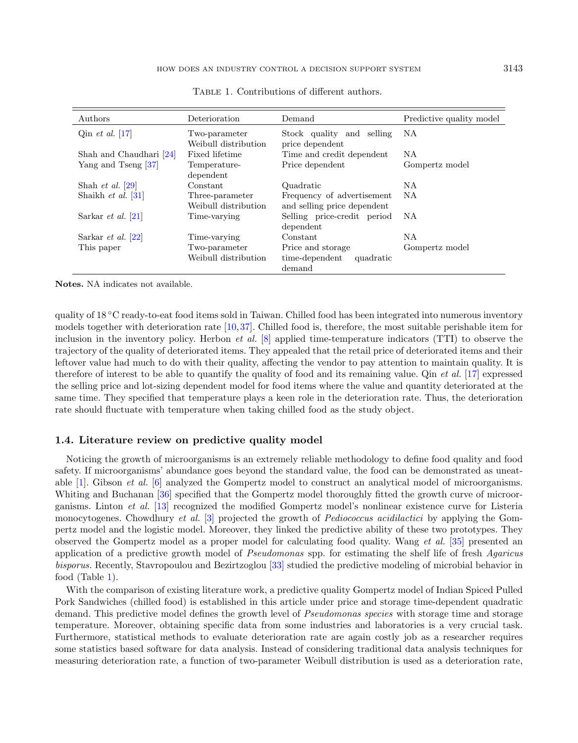| Authors                     | Deterioration                           | Demand                                                     | Predictive quality model |
|-----------------------------|-----------------------------------------|------------------------------------------------------------|--------------------------|
| Qin <i>et al.</i> [17]      | Two-parameter<br>Weibull distribution   | Stock quality and selling<br>price dependent               | ΝA                       |
| Shah and Chaudhari [24]     | Fixed lifetime                          | Time and credit dependent                                  | N A                      |
| Yang and Tseng [37]         | Temperature-                            | Price dependent                                            | Gompertz model           |
|                             | dependent                               |                                                            |                          |
| Shah <i>et al.</i> $ 29 $   | Constant                                | Quadratic                                                  | ΝA                       |
| Shaikh <i>et al.</i> [31]   | Three-parameter<br>Weibull distribution | Frequency of advertisement<br>and selling price dependent  | NA                       |
| Sarkar <i>et al.</i> [21]   | Time-varying                            | Selling price-credit period<br>dependent                   | NA                       |
| Sarkar <i>et al.</i> $[22]$ | Time-varying                            | Constant                                                   | NA.                      |
| This paper                  | Two-parameter<br>Weibull distribution   | Price and storage<br>time-dependent<br>quadratic<br>demand | Gompertz model           |

<span id="page-2-0"></span>TABLE 1. Contributions of different authors.

Notes. NA indicates not available.

quality of 18 <sup>∘</sup>C ready-to-eat food items sold in Taiwan. Chilled food has been integrated into numerous inventory models together with deterioration rate [\[10,](#page-10-21)[37\]](#page-11-7). Chilled food is, therefore, the most suitable perishable item for inclusion in the inventory policy. Herbon *et al.* [\[8\]](#page-10-2) applied time-temperature indicators (TTI) to observe the trajectory of the quality of deteriorated items. They appealed that the retail price of deteriorated items and their leftover value had much to do with their quality, affecting the vendor to pay attention to maintain quality. It is therefore of interest to be able to quantify the quality of food and its remaining value. Qin et al. [\[17\]](#page-10-20) expressed the selling price and lot-sizing dependent model for food items where the value and quantity deteriorated at the same time. They specified that temperature plays a keen role in the deterioration rate. Thus, the deterioration rate should fluctuate with temperature when taking chilled food as the study object.

# 1.4. Literature review on predictive quality model

Noticing the growth of microorganisms is an extremely reliable methodology to define food quality and food safety. If microorganisms' abundance goes beyond the standard value, the food can be demonstrated as uneatable [\[1\]](#page-10-22). Gibson et al. [\[6\]](#page-10-23) analyzed the Gompertz model to construct an analytical model of microorganisms. Whiting and Buchanan [\[36\]](#page-11-8) specified that the Gompertz model thoroughly fitted the growth curve of microorganisms. Linton et al. [\[13\]](#page-10-24) recognized the modified Gompertz model's nonlinear existence curve for Listeria monocytogenes. Chowdhury *et al.* [\[3\]](#page-10-25) projected the growth of *Pediococcus acidilactici* by applying the Gompertz model and the logistic model. Moreover, they linked the predictive ability of these two prototypes. They observed the Gompertz model as a proper model for calculating food quality. Wang et al. [\[35\]](#page-11-9) presented an application of a predictive growth model of Pseudomonas spp. for estimating the shelf life of fresh Agaricus bisporus. Recently, Stavropoulou and Bezirtzoglou [\[33\]](#page-11-10) studied the predictive modeling of microbial behavior in food (Table [1\)](#page-2-0).

With the comparison of existing literature work, a predictive quality Gompertz model of Indian Spiced Pulled Pork Sandwiches (chilled food) is established in this article under price and storage time-dependent quadratic demand. This predictive model defines the growth level of *Pseudomonas species* with storage time and storage temperature. Moreover, obtaining specific data from some industries and laboratories is a very crucial task. Furthermore, statistical methods to evaluate deterioration rate are again costly job as a researcher requires some statistics based software for data analysis. Instead of considering traditional data analysis techniques for measuring deterioration rate, a function of two-parameter Weibull distribution is used as a deterioration rate,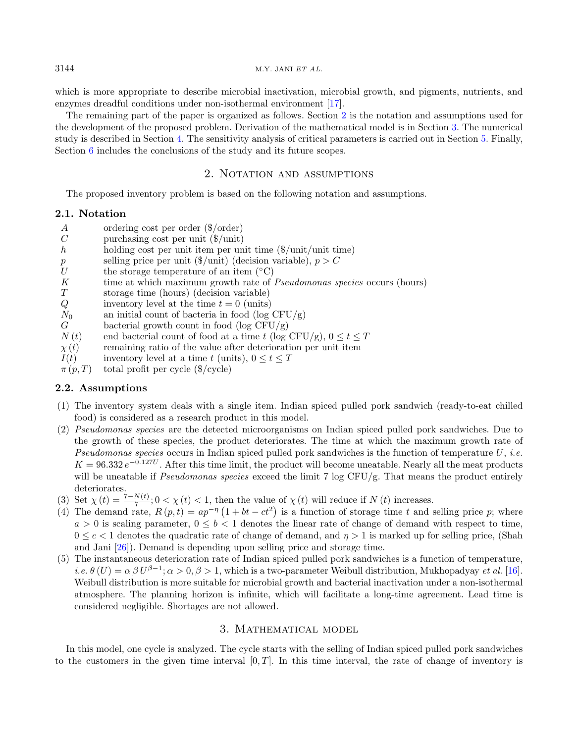which is more appropriate to describe microbial inactivation, microbial growth, and pigments, nutrients, and enzymes dreadful conditions under non-isothermal environment [\[17\]](#page-10-20).

The remaining part of the paper is organized as follows. Section [2](#page-3-0) is the notation and assumptions used for the development of the proposed problem. Derivation of the mathematical model is in Section [3.](#page-3-1) The numerical study is described in Section [4.](#page-5-0) The sensitivity analysis of critical parameters is carried out in Section [5.](#page-7-0) Finally, Section [6](#page-7-1) includes the conclusions of the study and its future scopes.

# 2. NOTATION AND ASSUMPTIONS

<span id="page-3-0"></span>The proposed inventory problem is based on the following notation and assumptions.

## 2.1. Notation

- ordering cost per order (\$/order)
- $C$  purchasing cost per unit  $(\frac{1}{2})$ unit)
- holding cost per unit item per unit time  $(\frac{2}{\text{unit}}/unit \text{ time})$
- p selling price per unit  $(\frac{f}{\text{unit}})$  (decision variable),  $p > C$ <br>the storage temperature of an item  $(^{\circ}C)$
- the storage temperature of an item (<sup>∘</sup>C)
- $K$  time at which maximum growth rate of *Pseudomonas species* occurs (hours)  $T$  storage time (hours) (decision variable)
- $T$  storage time (hours) (decision variable)<br>  $Q$  inventory level at the time  $t = 0$  (units)
- inventory level at the time  $t = 0$  (units)
- $N_0$  an initial count of bacteria in food (log CFU/g)
- $G$  bacterial growth count in food (log CFU/g)
- $N(t)$  end bacterial count of food at a time t (log CFU/g),  $0 \le t \le T$
- $\chi(t)$  remaining ratio of the value after deterioration per unit item
- $I(t)$  inventory level at a time t (units),  $0 \le t \le T$
- $\pi(p, T)$  total profit per cycle (\$/cycle)

# 2.2. Assumptions

- (1) The inventory system deals with a single item. Indian spiced pulled pork sandwich (ready-to-eat chilled food) is considered as a research product in this model.
- (2) Pseudomonas species are the detected microorganisms on Indian spiced pulled pork sandwiches. Due to the growth of these species, the product deteriorates. The time at which the maximum growth rate of Pseudomonas species occurs in Indian spiced pulled pork sandwiches is the function of temperature  $U$ , i.e.  $K = 96.332 e^{-0.127U}$ . After this time limit, the product will become uneatable. Nearly all the meat products will be uneatable if Pseudomonas species exceed the limit 7 log CFU/g. That means the product entirely deteriorates.
- (3) Set  $\chi(t) = \frac{7 N(t)}{7}$ ;  $0 < \chi(t) < 1$ , then the value of  $\chi(t)$  will reduce if  $N(t)$  increases.
- (4) The demand rate,  $R(p,t) = ap^{-\eta} (1 + bt ct^2)$  is a function of storage time t and selling price p; where  $a > 0$  is scaling parameter,  $0 \leq b < 1$  denotes the linear rate of change of demand with respect to time,  $0 \leq c \leq 1$  denotes the quadratic rate of change of demand, and  $\eta > 1$  is marked up for selling price, (Shah and Jani [\[26\]](#page-10-4)). Demand is depending upon selling price and storage time.
- (5) The instantaneous deterioration rate of Indian spiced pulled pork sandwiches is a function of temperature, *i.e.*  $\theta(U) = \alpha \beta U^{\beta-1}$ ;  $\alpha > 0$ ,  $\beta > 1$ , which is a two-parameter Weibull distribution, Mukhopadyay *et al.* [\[16\]](#page-10-18). Weibull distribution is more suitable for microbial growth and bacterial inactivation under a non-isothermal atmosphere. The planning horizon is infinite, which will facilitate a long-time agreement. Lead time is considered negligible. Shortages are not allowed.

# 3. Mathematical model

<span id="page-3-1"></span>In this model, one cycle is analyzed. The cycle starts with the selling of Indian spiced pulled pork sandwiches to the customers in the given time interval  $[0, T]$ . In this time interval, the rate of change of inventory is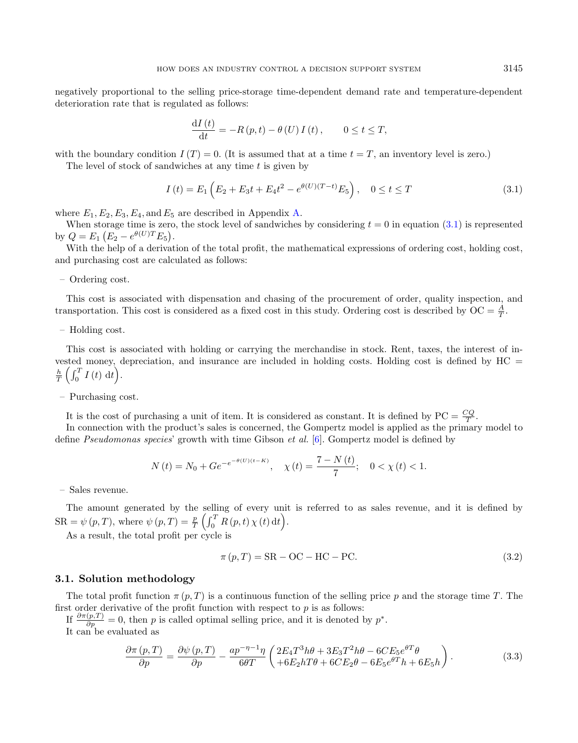negatively proportional to the selling price-storage time-dependent demand rate and temperature-dependent deterioration rate that is regulated as follows:

<span id="page-4-0"></span>
$$
\frac{\mathrm{d}I\left(t\right)}{\mathrm{d}t} = -R\left(p,t\right) - \theta\left(U\right)I\left(t\right), \qquad 0 \le t \le T,
$$

with the boundary condition  $I(T) = 0$ . (It is assumed that at a time  $t = T$ , an inventory level is zero.)

The level of stock of sandwiches at any time  $t$  is given by

$$
I(t) = E_1 \left( E_2 + E_3 t + E_4 t^2 - e^{\theta(U)(T-t)} E_5 \right), \quad 0 \le t \le T
$$
\n(3.1)

where  $E_1, E_2, E_3, E_4$ , and  $E_5$  are described in Appendix [A.](#page-8-0)

When storage time is zero, the stock level of sandwiches by considering  $t = 0$  in equation [\(3.1\)](#page-4-0) is represented by  $Q = E_1 (E_2 - e^{\theta(U)T} E_5).$ 

With the help of a derivation of the total profit, the mathematical expressions of ordering cost, holding cost, and purchasing cost are calculated as follows:

– Ordering cost.

This cost is associated with dispensation and chasing of the procurement of order, quality inspection, and transportation. This cost is considered as a fixed cost in this study. Ordering cost is described by  $OC = \frac{A}{T}$ .

– Holding cost.

This cost is associated with holding or carrying the merchandise in stock. Rent, taxes, the interest of invested money, depreciation, and insurance are included in holding costs. Holding cost is defined by HC =  $\frac{h}{T}\left(\int_0^T I\left(t\right) \, \mathrm{d}t\right).$ 

– Purchasing cost.

It is the cost of purchasing a unit of item. It is considered as constant. It is defined by  $PC = \frac{CQ}{T}$ .

In connection with the product's sales is concerned, the Gompertz model is applied as the primary model to define Pseudomonas species' growth with time Gibson et al. [\[6\]](#page-10-23). Gompertz model is defined by

$$
N(t) = N_0 + Ge^{-e^{-\theta(U)(t-K)}}, \quad \chi(t) = \frac{7 - N(t)}{7}; \quad 0 < \chi(t) < 1.
$$

– Sales revenue.

The amount generated by the selling of every unit is referred to as sales revenue, and it is defined by  $\text{SR} = \psi(p, T), \text{ where } \psi(p, T) = \frac{p}{T} \left( \int_0^T R(p, t) \, \chi(t) \, \mathrm{d}t \right).$ 

As a result, the total profit per cycle is

$$
\pi(p,T) = \text{SR} - \text{OC} - \text{HC} - \text{PC}.\tag{3.2}
$$

## 3.1. Solution methodology

The total profit function  $\pi(p, T)$  is a continuous function of the selling price p and the storage time T. The first order derivative of the profit function with respect to  $p$  is as follows:

If  $\frac{\partial \pi(p,T)}{\partial p} = 0$ , then p is called optimal selling price, and it is denoted by  $p^*$ .

It can be evaluated as

$$
\frac{\partial \pi (p, T)}{\partial p} = \frac{\partial \psi (p, T)}{\partial p} - \frac{ap^{-\eta - 1}\eta}{6\theta T} \left( \frac{2E_4 T^3 h\theta + 3E_3 T^2 h\theta - 6CE_5 e^{\theta T} \theta}{+6E_2 hT\theta + 6CE_2 \theta - 6E_5 e^{\theta T} h + 6E_5 h} \right). \tag{3.3}
$$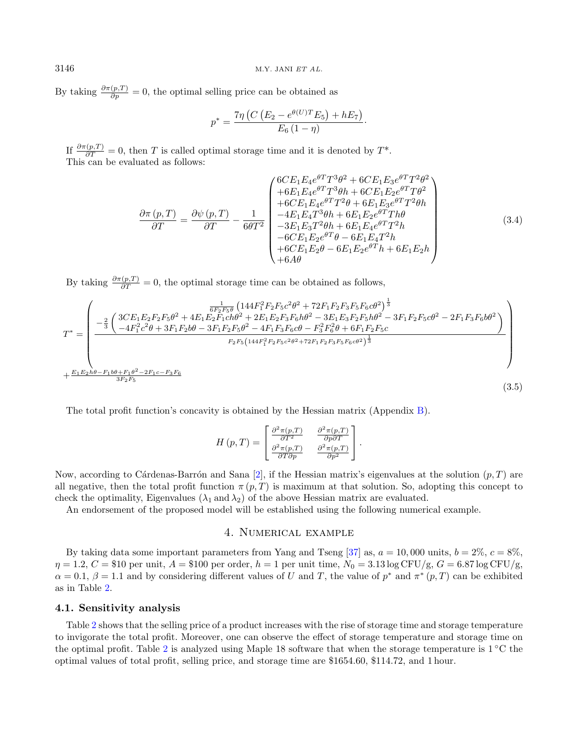By taking  $\frac{\partial \pi(p,T)}{\partial p} = 0$ , the optimal selling price can be obtained as

$$
p^* = \frac{7\eta (C (E_2 - e^{\theta(U)T} E_5) + hE_7)}{E_6 (1 - \eta)}.
$$

If  $\frac{\partial \pi(p,T)}{\partial T} = 0$ , then T is called optimal storage time and it is denoted by  $T^*$ . This can be evaluated as follows:

$$
\frac{\partial \pi(p,T)}{\partial T} = \frac{\partial \psi(p,T)}{\partial T} - \frac{1}{6\theta T^2} \begin{pmatrix}\n6CE_1 E_4 e^{\theta T} T^3 \theta^2 + 6CE_1 E_3 e^{\theta T} T^2 \theta^2 \\
+ 6E_1 E_4 e^{\theta T} T^3 \theta h + 6CE_1 E_2 e^{\theta T} T \theta^2 \\
+ 6CE_1 E_4 e^{\theta T} T^2 \theta + 6E_1 E_3 e^{\theta T} T^2 \theta h \\
- 4E_1 E_4 T^3 \theta h + 6E_1 E_2 e^{\theta T} T h \theta \\
- 3E_1 E_3 T^2 \theta h + 6E_1 E_4 e^{\theta T} T^2 h \\
- 6CE_1 E_2 e^{\theta T} \theta - 6E_1 E_4 T^2 h \\
+ 6CE_1 E_2 \theta - 6E_1 E_2 e^{\theta T} h + 6E_1 E_2 h \\
+ 6A\theta\n\end{pmatrix} (3.4)
$$

By taking  $\frac{\partial \pi(p,T)}{\partial T} = 0$ , the optimal storage time can be obtained as follows,

$$
T^* = \begin{pmatrix} \frac{1}{6F_2F_5\theta} \left( 144F_1^2F_2F_5c^2\theta^2 + 72F_1F_2F_3F_5F_6c\theta^2 \right)^{\frac{1}{3}} \\ -\frac{2}{3} \left( \frac{3CE_1E_2F_2F_5\theta^2 + 4E_1E_2F_1ch\theta^2 + 2E_1E_2F_3F_6h\theta^2 - 3E_1E_3F_2F_5h\theta^2 - 3F_1F_2F_5c\theta^2 - 2F_1F_3F_6b\theta^2 \right) \\ -4F_1^2c^2\theta + 3F_1F_2b\theta - 3F_1F_2F_5\theta^2 - 4F_1F_3F_6c\theta - F_3^2F_6^2\theta + 6F_1F_2F_5c \\ F_2F_5\left( 144F_1^2F_2F_5c^2\theta^2 + 72F_1F_2F_3F_5F_6c\theta^2 \right)^{\frac{1}{3}} \end{pmatrix}
$$
  
+  $\frac{E_1E_2h\theta - F_1b\theta + F_1\theta^2 - 2F_1c - F_3F_6}{3F_2F_5}$  (3.5)

The total profit function's concavity is obtained by the Hessian matrix (Appendix [B\)](#page-9-0).

$$
H(p,T) = \begin{bmatrix} \frac{\partial^2 \pi(p,T)}{\partial T^2} & \frac{\partial^2 \pi(p,T)}{\partial p \partial T} \\ \frac{\partial^2 \pi(p,T)}{\partial T \partial p} & \frac{\partial^2 \pi(p,T)}{\partial p^2} \end{bmatrix}.
$$

Now, according to Cárdenas-Barrón and Sana [\[2\]](#page-10-26), if the Hessian matrix's eigenvalues at the solution  $(p, T)$  are all negative, then the total profit function  $\pi(p, T)$  is maximum at that solution. So, adopting this concept to check the optimality, Eigenvalues ( $\lambda_1$  and  $\lambda_2$ ) of the above Hessian matrix are evaluated.

<span id="page-5-0"></span>An endorsement of the proposed model will be established using the following numerical example.

# 4. Numerical example

By taking data some important parameters from Yang and Tseng [\[37\]](#page-11-7) as,  $a = 10,000$  units,  $b = 2\%, c = 8\%$ ,  $\eta = 1.2, C = $10$  per unit,  $A = $100$  per order,  $h = 1$  per unit time,  $N_0 = 3.13 \log CFU/g, G = 6.87 \log CFU/g,$  $\alpha = 0.1, \beta = 1.1$  and by considering different values of U and T, the value of  $p^*$  and  $\pi^*(p, T)$  can be exhibited as in Table [2.](#page-6-0)

## 4.1. Sensitivity analysis

Table [2](#page-6-0) shows that the selling price of a product increases with the rise of storage time and storage temperature to invigorate the total profit. Moreover, one can observe the effect of storage temperature and storage time on the optimal profit. Table [2](#page-6-0) is analyzed using Maple 18 software that when the storage temperature is 1 <sup>∘</sup>C the optimal values of total profit, selling price, and storage time are \$1654.60, \$114.72, and 1 hour.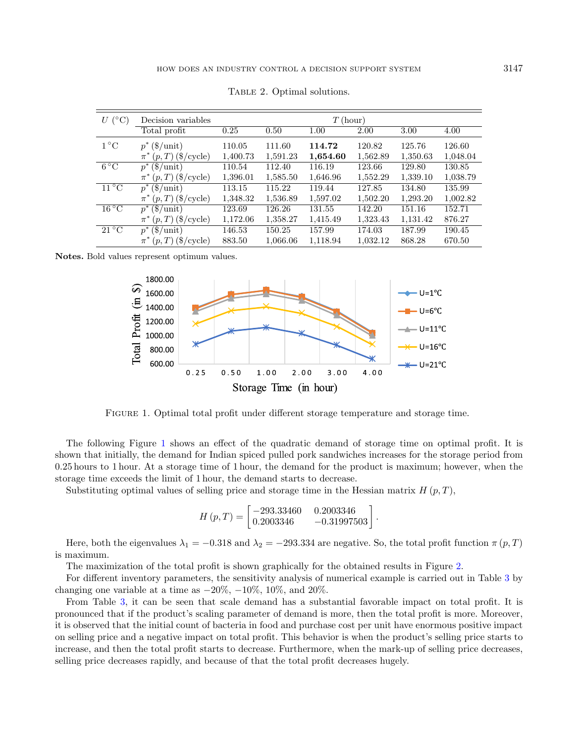<span id="page-6-0"></span>

| al solutions. |            |      |          |  |
|---------------|------------|------|----------|--|
|               | $T$ (hour) |      |          |  |
| $1.00\,$      | 2.00       | 3.00 | $4.00\,$ |  |
|               |            |      |          |  |

| $U$ (°C)       | Decision variables                       | $T$ (hour) |          |          |          |          |          |
|----------------|------------------------------------------|------------|----------|----------|----------|----------|----------|
|                | Total profit                             | 0.25       | 0.50     | 1.00     | 2.00     | 3.00     | 4.00     |
| $1^{\circ}$ C  | $p^*(\text{$\$\/unit$})$                 | 110.05     | 111.60   | 114.72   | 120.82   | 125.76   | 126.60   |
|                | $\pi^*(p,T)$ (\$/cycle)                  | 1,400.73   | 1,591.23 | 1,654.60 | 1,562.89 | 1,350.63 | 1,048.04 |
| $6^{\circ}$ C  | $p^*(\text{$\frac{1}{5}$/unit})$         | 110.54     | 112.40   | 116.19   | 123.66   | 129.80   | 130.85   |
|                | $\pi^*(p,T)$ (\$/cycle)                  | 1,396.01   | 1,585.50 | 1,646.96 | 1,552.29 | 1,339.10 | 1,038.79 |
| $11^{\circ}$ C | $(\frac{\text{}}{\text{unit}})$<br>$p^*$ | 113.15     | 115.22   | 119.44   | 127.85   | 134.80   | 135.99   |
|                | $(p, T)$ (\$/cycle)<br>$\pi^*$           | 1,348.32   | 1,536.89 | 1,597.02 | 1,502.20 | 1,293.20 | 1,002.82 |
| $16^{\circ}$ C | $(\$/unit)$<br>$p^*$                     | 123.69     | 126.26   | 131.55   | 142.20   | 151.16   | 152.71   |
|                | $(p, T)$ (\$/cycle)<br>$\pi^*$           | 1,172.06   | 1,358.27 | 1,415.49 | 1,323.43 | 1,131.42 | 876.27   |
| $21^{\circ}$ C | $(\$/unit)$<br>$p^*$                     | 146.53     | 150.25   | 157.99   | 174.03   | 187.99   | 190.45   |
|                | $\pi^*(p,T)$ (\$/cycle)                  | 883.50     | 1,066.06 | 1,118.94 | 1,032.12 | 868.28   | 670.50   |

TABLE 2. Optima

Notes. Bold values represent optimum values.

<span id="page-6-1"></span>

Figure 1. Optimal total profit under different storage temperature and storage time.

The following Figure [1](#page-6-1) shows an effect of the quadratic demand of storage time on optimal profit. It is shown that initially, the demand for Indian spiced pulled pork sandwiches increases for the storage period from 0.25 hours to 1 hour. At a storage time of 1 hour, the demand for the product is maximum; however, when the storage time exceeds the limit of 1 hour, the demand starts to decrease.

Substituting optimal values of selling price and storage time in the Hessian matrix  $H(p, T)$ ,

$$
H(p,T) = \begin{bmatrix} -293.33460 & 0.2003346 \\ 0.2003346 & -0.31997503 \end{bmatrix}.
$$

Here, both the eigenvalues  $\lambda_1 = -0.318$  and  $\lambda_2 = -293.334$  are negative. So, the total profit function  $\pi(p, T)$ is maximum.

The maximization of the total profit is shown graphically for the obtained results in Figure [2.](#page-7-2)

For different inventory parameters, the sensitivity analysis of numerical example is carried out in Table [3](#page-7-3) by changing one variable at a time as  $-20\%, -10\%, 10\%,$  and  $20\%$ .

From Table [3,](#page-7-3) it can be seen that scale demand has a substantial favorable impact on total profit. It is pronounced that if the product's scaling parameter of demand is more, then the total profit is more. Moreover, it is observed that the initial count of bacteria in food and purchase cost per unit have enormous positive impact on selling price and a negative impact on total profit. This behavior is when the product's selling price starts to increase, and then the total profit starts to decrease. Furthermore, when the mark-up of selling price decreases, selling price decreases rapidly, and because of that the total profit decreases hugely.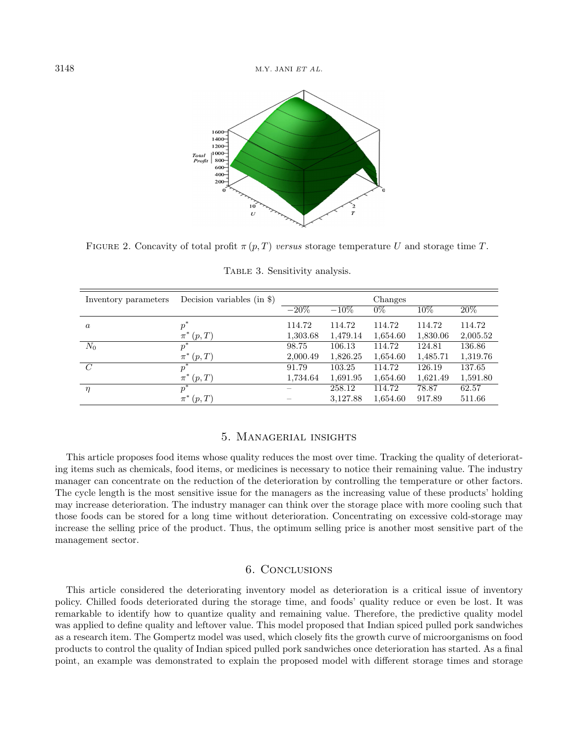<span id="page-7-3"></span><span id="page-7-2"></span>

FIGURE 2. Concavity of total profit  $\pi(p, T)$  versus storage temperature U and storage time T.

| Inventory parameters | Decision variables (in $\})$ |          |          | Changes  |          |          |
|----------------------|------------------------------|----------|----------|----------|----------|----------|
|                      |                              | $-20\%$  | $-10\%$  | $0\%$    | 10%      | $20\%$   |
| $\boldsymbol{a}$     | $p^*$                        | 114.72   | 114.72   | 114.72   | 114.72   | 114.72   |
|                      | $\pi^{*}$<br>(p,T)           | 1,303.68 | 1,479.14 | 1,654.60 | 1,830.06 | 2,005.52 |
| $N_0$                | $p^*$                        | 98.75    | 106.13   | 114.72   | 124.81   | 136.86   |
|                      | $\pi^*(p,T)$                 | 2,000.49 | 1,826.25 | 1,654.60 | 1,485.71 | 1,319.76 |
| $\mathcal{C}$        | $p^*$                        | 91.79    | 103.25   | 114.72   | 126.19   | 137.65   |
|                      | $\pi^*(p,T)$                 | 1,734.64 | 1,691.95 | 1,654.60 | 1,621.49 | 1,591.80 |
| $\eta$               | $p^*$                        |          | 258.12   | 114.72   | 78.87    | 62.57    |
|                      | $\pi^*(p,T)$                 |          | 3,127.88 | 1,654.60 | 917.89   | 511.66   |

TABLE 3. Sensitivity analysis.

# 5. Managerial insights

<span id="page-7-0"></span>This article proposes food items whose quality reduces the most over time. Tracking the quality of deteriorating items such as chemicals, food items, or medicines is necessary to notice their remaining value. The industry manager can concentrate on the reduction of the deterioration by controlling the temperature or other factors. The cycle length is the most sensitive issue for the managers as the increasing value of these products' holding may increase deterioration. The industry manager can think over the storage place with more cooling such that those foods can be stored for a long time without deterioration. Concentrating on excessive cold-storage may increase the selling price of the product. Thus, the optimum selling price is another most sensitive part of the management sector.

# 6. Conclusions

<span id="page-7-1"></span>This article considered the deteriorating inventory model as deterioration is a critical issue of inventory policy. Chilled foods deteriorated during the storage time, and foods' quality reduce or even be lost. It was remarkable to identify how to quantize quality and remaining value. Therefore, the predictive quality model was applied to define quality and leftover value. This model proposed that Indian spiced pulled pork sandwiches as a research item. The Gompertz model was used, which closely fits the growth curve of microorganisms on food products to control the quality of Indian spiced pulled pork sandwiches once deterioration has started. As a final point, an example was demonstrated to explain the proposed model with different storage times and storage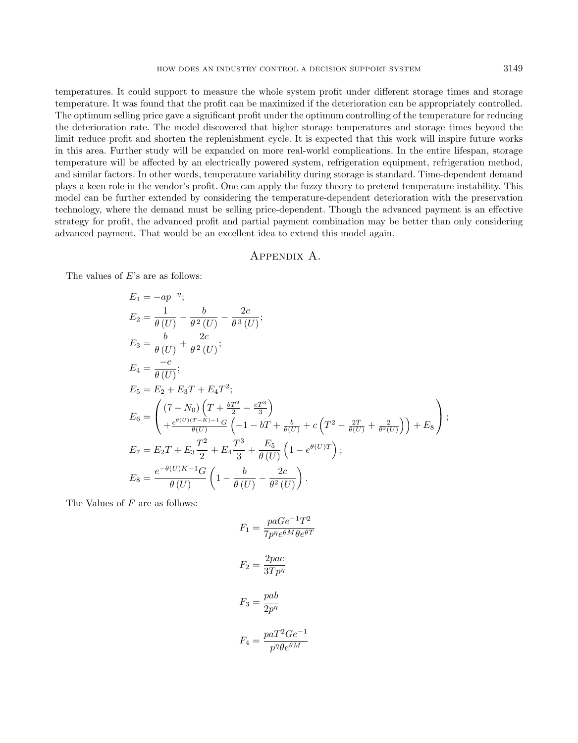temperatures. It could support to measure the whole system profit under different storage times and storage temperature. It was found that the profit can be maximized if the deterioration can be appropriately controlled. The optimum selling price gave a significant profit under the optimum controlling of the temperature for reducing the deterioration rate. The model discovered that higher storage temperatures and storage times beyond the limit reduce profit and shorten the replenishment cycle. It is expected that this work will inspire future works in this area. Further study will be expanded on more real-world complications. In the entire lifespan, storage temperature will be affected by an electrically powered system, refrigeration equipment, refrigeration method, and similar factors. In other words, temperature variability during storage is standard. Time-dependent demand plays a keen role in the vendor's profit. One can apply the fuzzy theory to pretend temperature instability. This model can be further extended by considering the temperature-dependent deterioration with the preservation technology, where the demand must be selling price-dependent. Though the advanced payment is an effective strategy for profit, the advanced profit and partial payment combination may be better than only considering advanced payment. That would be an excellent idea to extend this model again.

# Appendix A.

<span id="page-8-0"></span>The values of  $E$ 's are as follows:

$$
E_1 = -ap^{-\eta};
$$
  
\n
$$
E_2 = \frac{1}{\theta(U)} - \frac{b}{\theta^2(U)} - \frac{2c}{\theta^3(U)};
$$
  
\n
$$
E_3 = \frac{b}{\theta(U)} + \frac{2c}{\theta^2(U)};
$$
  
\n
$$
E_4 = \frac{-c}{\theta(U)};
$$
  
\n
$$
E_5 = E_2 + E_3T + E_4T^2;
$$
  
\n
$$
E_6 = \begin{pmatrix} (7 - N_0) \left( T + \frac{bT^2}{2} - \frac{cT^3}{3} \right) \\ + \frac{e^{\theta(U)(T-K)-1}G}{\theta(U)} \left( -1 - bT + \frac{b}{\theta(U)} + c \left( T^2 - \frac{2T}{\theta(U)} + \frac{2}{\theta^2(U)} \right) \right) + E_8 \end{pmatrix};
$$
  
\n
$$
E_7 = E_2T + E_3 \frac{T^2}{2} + E_4 \frac{T^3}{3} + \frac{E_5}{\theta(U)} \left( 1 - e^{\theta(U)T} \right);
$$
  
\n
$$
E_8 = \frac{e^{-\theta(U)K - 1}G}{\theta(U)} \left( 1 - \frac{b}{\theta(U)} - \frac{2c}{\theta^2(U)} \right).
$$

The Values of  $F$  are as follows:

$$
F_1 = \frac{paGe^{-1}T^2}{7p^{\eta}e^{\theta M}\theta e^{\theta T}}
$$

$$
F_2 = \frac{2pac}{3Tp^{\eta}}
$$

$$
F_3 = \frac{pab}{2p^{\eta}}
$$

$$
p a T^2 G e^{-1}
$$

$$
F_4 = \frac{p\alpha \mathbf{1} \ \alpha \mathbf{c}}{p^{\eta} \theta e^{\theta M}}
$$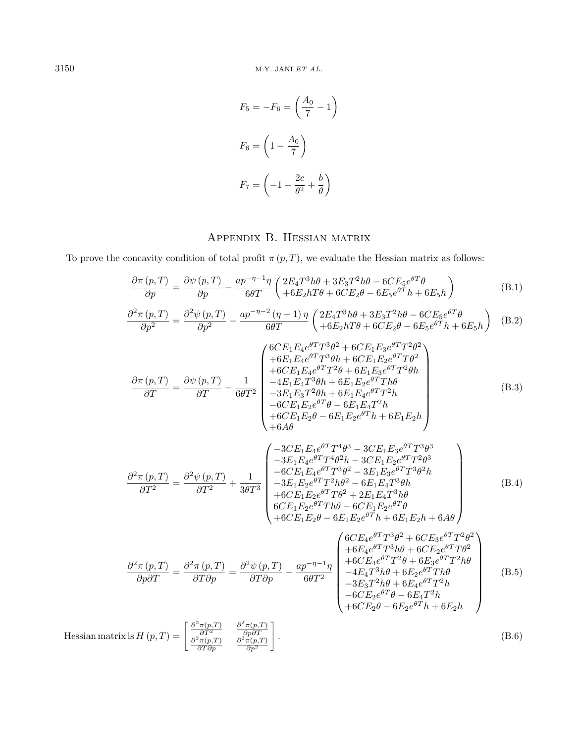$$
F_5 = -F_6 = \left(\frac{A_0}{7} - 1\right)
$$

$$
F_6 = \left(1 - \frac{A_0}{7}\right)
$$

$$
F_7 = \left(-1 + \frac{2c}{\theta^2} + \frac{b}{\theta}\right)
$$

# Appendix B. Hessian matrix

<span id="page-9-0"></span>To prove the concavity condition of total profit  $\pi(p, T)$ , we evaluate the Hessian matrix as follows:

$$
\frac{\partial \pi (p, T)}{\partial p} = \frac{\partial \psi (p, T)}{\partial p} - \frac{ap^{-\eta - 1}\eta}{6\theta T} \left( \frac{2E_4 T^3 h\theta + 3E_3 T^2 h\theta - 6CE_5 e^{\theta T} \theta}{+6E_2 hT\theta + 6CE_2 \theta - 6E_5 e^{\theta T} h + 6E_5 h} \right)
$$
(B.1)

$$
\frac{\partial^2 \pi (p, T)}{\partial p^2} = \frac{\partial^2 \psi (p, T)}{\partial p^2} - \frac{ap^{-\eta - 2} (\eta + 1) \eta}{6\theta T} \left( \frac{2E_4 T^3 h \theta + 3E_3 T^2 h \theta - 6CE_5 e^{\theta T} \theta}{+ 6E_2 h T \theta + 6CE_2 \theta - 6E_5 e^{\theta T} h + 6E_5 h} \right)
$$
(B.2)

$$
\frac{\partial \pi (p, T)}{\partial T} = \frac{\partial \psi (p, T)}{\partial T} - \frac{1}{6\theta T^2} \begin{pmatrix}\n6CE_1 E_4 e^{\theta T} T^3 \theta^2 + 6CE_1 E_3 e^{\theta T} T^2 \theta^2 \\
+ 6E_1 E_4 e^{\theta T} T^3 \theta h + 6CE_1 E_2 e^{\theta T} T \theta^2 \\
+ 6CE_1 E_4 e^{\theta T} T^2 \theta + 6E_1 E_3 e^{\theta T} T^2 \theta h \\
- 4E_1 E_4 T^3 \theta h + 6E_1 E_2 e^{\theta T} T h \theta \\
- 3E_1 E_3 T^2 \theta h + 6E_1 E_4 e^{\theta T} T^2 h \\
- 6CE_1 E_2 e^{\theta T} \theta - 6E_1 E_4 T^2 h \\
+ 6CE_1 E_2 \theta - 6E_1 E_2 e^{\theta T} h + 6E_1 E_2 h \\
+ 6A\theta\n\end{pmatrix} (B.3)
$$

$$
\frac{\partial^2 \pi (p, T)}{\partial T^2} = \frac{\partial^2 \psi (p, T)}{\partial T^2} + \frac{1}{3\theta T^3} \begin{pmatrix}\n-3CE_1 E_4 e^{\theta T} T^4 \theta^3 - 3CE_1 E_3 e^{\theta T} T^3 \theta^3 \\
-3E_1 E_4 e^{\theta T} T^4 \theta^2 h - 3CE_1 E_2 e^{\theta T} T^2 \theta^3 \\
-6CE_1 E_4 e^{\theta T} T^3 \theta^2 - 3E_1 E_3 e^{\theta T} T^3 \theta^2 h \\
-3E_1 E_2 e^{\theta T} T^2 h \theta^2 - 6E_1 E_4 T^3 \theta h \\
+6CE_1 E_2 e^{\theta T} T \theta^2 + 2E_1 E_4 T^3 h \theta \\
6CE_1 E_2 e^{\theta T} T h \theta - 6CE_1 E_2 e^{\theta T} \theta \\
+6CE_1 E_2 \theta - 6E_1 E_2 e^{\theta T} h + 6E_1 E_2 h + 6A\theta\n\end{pmatrix} (B.4)
$$

$$
\frac{\partial^2 \pi (p, T)}{\partial p \partial T} = \frac{\partial^2 \pi (p, T)}{\partial T \partial p} = \frac{\partial^2 \psi (p, T)}{\partial T \partial p} - \frac{ap^{-\eta - 1} \eta}{6\theta T^2} \begin{pmatrix} 6CE_4 e^{\theta T} T^3 \theta^2 + 6CE_3 e^{\theta T} T^2 \theta^2 \\ + 6E_4 e^{\theta T} T^3 h \theta + 6CE_2 e^{\theta T} T \theta^2 \\ + 6CE_4 e^{\theta T} T^2 \theta + 6E_3 e^{\theta T} T^2 h \theta \\ -4E_4 T^3 h \theta + 6E_2 e^{\theta T} T h \theta \\ -3E_3 T^2 h \theta + 6E_4 e^{\theta T} T^2 h \\ -6CE_2 e^{\theta T} \theta - 6E_4 T^2 h \\ +6CE_2 \theta - 6E_2 e^{\theta T} h + 6E_2 h \end{pmatrix}
$$
(B.5)

Hessian matrix is 
$$
H(p,T) = \begin{bmatrix} \frac{\partial^2 \pi(p,T)}{\partial T^2} & \frac{\partial^2 \pi(p,T)}{\partial p \partial T} \\ \frac{\partial^2 \pi(p,T)}{\partial T \partial p} & \frac{\partial^2 \pi(p,T)}{\partial p^2} \end{bmatrix}
$$
. (B.6)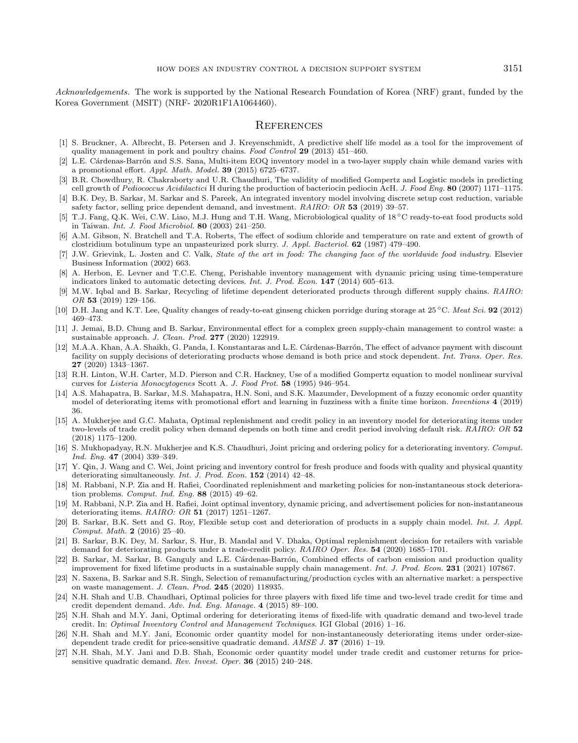<span id="page-10-26"></span><span id="page-10-25"></span><span id="page-10-23"></span><span id="page-10-22"></span><span id="page-10-6"></span><span id="page-10-1"></span><span id="page-10-0"></span>Acknowledgements. The work is supported by the National Research Foundation of Korea (NRF) grant, funded by the Korea Government (MSIT) (NRF- 2020R1F1A1064460).

#### **REFERENCES**

- <span id="page-10-2"></span>[1] S. Bruckner, A. Albrecht, B. Petersen and J. Kreyenschmidt, A predictive shelf life model as a tool for the improvement of quality management in pork and poultry chains. Food Control 29 (2013) 451–460.
- <span id="page-10-15"></span>[2] L.E. Cárdenas-Barrón and S.S. Sana, Multi-item EOQ inventory model in a two-layer supply chain while demand varies with a promotional effort. Appl. Math. Model. 39 (2015) 6725–6737.
- <span id="page-10-21"></span>[3] B.R. Chowdhury, R. Chakraborty and U.R. Chaudhuri, The validity of modified Gompertz and Logistic models in predicting cell growth of Pediococcus Acidilactici H during the production of bacteriocin pediocin AcH. J. Food Eng. 80 (2007) 1171–1175.
- <span id="page-10-16"></span>[4] B.K. Dey, B. Sarkar, M. Sarkar and S. Pareek, An integrated inventory model involving discrete setup cost reduction, variable safety factor, selling price dependent demand, and investment. RAIRO: OR 53 (2019) 39–57.
- <span id="page-10-8"></span>[5] T.J. Fang, Q.K. Wei, C.W. Liao, M.J. Hung and T.H. Wang, Microbiological quality of 18 <sup>∘</sup>C ready-to-eat food products sold in Taiwan. Int. J. Food Microbiol. 80 (2003) 241–250.
- <span id="page-10-24"></span>[6] A.M. Gibson, N. Bratchell and T.A. Roberts, The effect of sodium chloride and temperature on rate and extent of growth of clostridium botulinum type an unpasteurized pork slurry. J. Appl. Bacteriol. 62 (1987) 479–490.
- <span id="page-10-14"></span>[7] J.W. Grievink, L. Josten and C. Valk, State of the art in food: The changing face of the worldwide food industry. Elsevier Business Information (2002) 663.
- <span id="page-10-5"></span>[8] A. Herbon, E. Levner and T.C.E. Cheng, Perishable inventory management with dynamic pricing using time-temperature indicators linked to automatic detecting devices. Int. J. Prod. Econ. 147 (2014) 605–613.
- [9] M.W. Iqbal and B. Sarkar, Recycling of lifetime dependent deteriorated products through different supply chains. RAIRO: OR 53 (2019) 129–156.
- <span id="page-10-18"></span>[10] D.H. Jang and K.T. Lee, Quality changes of ready-to-eat ginseng chicken porridge during storage at 25 <sup>∘</sup>C. Meat Sci. 92 (2012) 469–473.
- <span id="page-10-20"></span>[11] J. Jemai, B.D. Chung and B. Sarkar, Environmental effect for a complex green supply-chain management to control waste: a sustainable approach. J. Clean. Prod. 277 (2020) 122919.
- <span id="page-10-9"></span>[12] M.A.A. Khan, A.A. Shaikh, G. Panda, I. Konstantaras and L.E. Cárdenas-Barrón, The effect of advance payment with discount facility on supply decisions of deteriorating products whose demand is both price and stock dependent. Int. Trans. Oper. Res. 27 (2020) 1343–1367.
- <span id="page-10-13"></span><span id="page-10-11"></span>[13] R.H. Linton, W.H. Carter, M.D. Pierson and C.R. Hackney, Use of a modified Gompertz equation to model nonlinear survival curves for Listeria Monocytogenes Scott A. J. Food Prot. 58 (1995) 946–954.
- <span id="page-10-7"></span>[14] A.S. Mahapatra, B. Sarkar, M.S. Mahapatra, H.N. Soni, and S.K. Mazumder, Development of a fuzzy economic order quantity model of deteriorating items with promotional effort and learning in fuzziness with a finite time horizon. Inventions 4 (2019) 36.
- <span id="page-10-19"></span>[15] A. Mukherjee and G.C. Mahata, Optimal replenishment and credit policy in an inventory model for deteriorating items under two-levels of trade credit policy when demand depends on both time and credit period involving default risk. RAIRO: OR 52 (2018) 1175–1200.
- <span id="page-10-17"></span>[16] S. Mukhopadyay, R.N. Mukherjee and K.S. Chaudhuri, Joint pricing and ordering policy for a deteriorating inventory. Comput. Ind. Eng. 47 (2004) 339–349.
- <span id="page-10-10"></span>[17] Y. Qin, J. Wang and C. Wei, Joint pricing and inventory control for fresh produce and foods with quality and physical quantity deteriorating simultaneously. Int. J. Prod. Econ. 152 (2014) 42-48.
- <span id="page-10-12"></span>[18] M. Rabbani, N.P. Zia and H. Rafiei, Coordinated replenishment and marketing policies for non-instantaneous stock deterioration problems. Comput. Ind. Eng. 88 (2015) 49–62.
- <span id="page-10-4"></span>[19] M. Rabbani, N.P. Zia and H. Rafiei, Joint optimal inventory, dynamic pricing, and advertisement policies for non-instantaneous deteriorating items. RAIRO: OR 51 (2017) 1251–1267.
- <span id="page-10-3"></span>[20] B. Sarkar, B.K. Sett and G. Roy, Flexible setup cost and deterioration of products in a supply chain model. Int. J. Appl. Comput. Math. 2 (2016) 25–40.
- [21] B. Sarkar, B.K. Dey, M. Sarkar, S. Hur, B. Mandal and V. Dhaka, Optimal replenishment decision for retailers with variable demand for deteriorating products under a trade-credit policy. RAIRO Oper. Res. 54 (2020) 1685–1701.
- [22] B. Sarkar, M. Sarkar, B. Ganguly and L.E. Cárdenas-Barrón, Combined effects of carbon emission and production quality improvement for fixed lifetime products in a sustainable supply chain management. Int. J. Prod. Econ. 231 (2021) 107867.
- [23] N. Saxena, B. Sarkar and S.R. Singh, Selection of remanufacturing/production cycles with an alternative market: a perspective on waste management. J. Clean. Prod. 245 (2020) 118935.
- [24] N.H. Shah and U.B. Chaudhari, Optimal policies for three players with fixed life time and two-level trade credit for time and credit dependent demand. Adv. Ind. Eng. Manage. 4 (2015) 89–100.
- [25] N.H. Shah and M.Y. Jani, Optimal ordering for deteriorating items of fixed-life with quadratic demand and two-level trade credit. In: Optimal Inventory Control and Management Techniques. IGI Global (2016) 1–16.
- [26] N.H. Shah and M.Y. Jani, Economic order quantity model for non-instantaneously deteriorating items under order-sizedependent trade credit for price-sensitive quadratic demand. AMSE J. 37 (2016) 1–19.
- [27] N.H. Shah, M.Y. Jani and D.B. Shah, Economic order quantity model under trade credit and customer returns for pricesensitive quadratic demand. Rev. Invest. Oper. 36 (2015) 240–248.